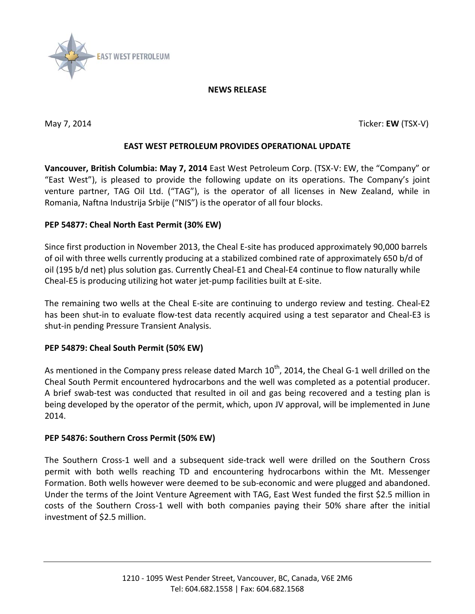

### **NEWS RELEASE**

May 7, 2014 Ticker: **EW** (TSX-V)

## **EAST WEST PETROLEUM PROVIDES OPERATIONAL UPDATE**

**Vancouver, British Columbia: May 7, 2014** East West Petroleum Corp. (TSX-V: EW, the "Company" or "East West"), is pleased to provide the following update on its operations. The Company's joint venture partner, TAG Oil Ltd. ("TAG"), is the operator of all licenses in New Zealand, while in Romania, Naftna Industrija Srbije ("NIS") is the operator of all four blocks.

### **PEP 54877: Cheal North East Permit (30% EW)**

Since first production in November 2013, the Cheal E-site has produced approximately 90,000 barrels of oil with three wells currently producing at a stabilized combined rate of approximately 650 b/d of oil (195 b/d net) plus solution gas. Currently Cheal-E1 and Cheal-E4 continue to flow naturally while Cheal-E5 is producing utilizing hot water jet-pump facilities built at E-site.

The remaining two wells at the Cheal E-site are continuing to undergo review and testing. Cheal-E2 has been shut-in to evaluate flow-test data recently acquired using a test separator and Cheal-E3 is shut-in pending Pressure Transient Analysis.

### **PEP 54879: Cheal South Permit (50% EW)**

As mentioned in the Company press release dated March  $10<sup>th</sup>$ , 2014, the Cheal G-1 well drilled on the Cheal South Permit encountered hydrocarbons and the well was completed as a potential producer. A brief swab-test was conducted that resulted in oil and gas being recovered and a testing plan is being developed by the operator of the permit, which, upon JV approval, will be implemented in June 2014.

# **PEP 54876: Southern Cross Permit (50% EW)**

The Southern Cross-1 well and a subsequent side-track well were drilled on the Southern Cross permit with both wells reaching TD and encountering hydrocarbons within the Mt. Messenger Formation. Both wells however were deemed to be sub-economic and were plugged and abandoned. Under the terms of the Joint Venture Agreement with TAG, East West funded the first \$2.5 million in costs of the Southern Cross-1 well with both companies paying their 50% share after the initial investment of \$2.5 million.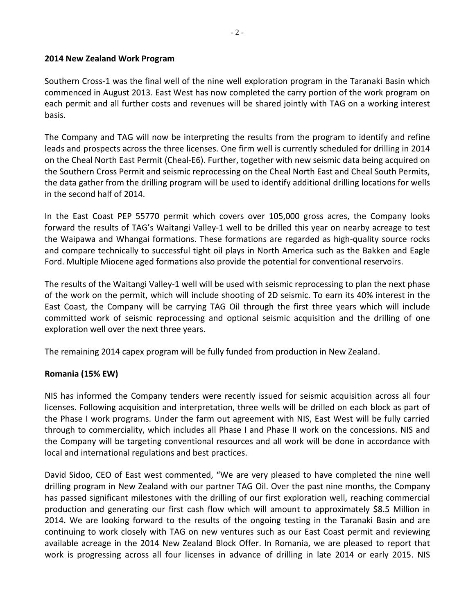### **2014 New Zealand Work Program**

Southern Cross-1 was the final well of the nine well exploration program in the Taranaki Basin which commenced in August 2013. East West has now completed the carry portion of the work program on each permit and all further costs and revenues will be shared jointly with TAG on a working interest basis.

The Company and TAG will now be interpreting the results from the program to identify and refine leads and prospects across the three licenses. One firm well is currently scheduled for drilling in 2014 on the Cheal North East Permit (Cheal-E6). Further, together with new seismic data being acquired on the Southern Cross Permit and seismic reprocessing on the Cheal North East and Cheal South Permits, the data gather from the drilling program will be used to identify additional drilling locations for wells in the second half of 2014.

In the East Coast PEP 55770 permit which covers over 105,000 gross acres, the Company looks forward the results of TAG's Waitangi Valley-1 well to be drilled this year on nearby acreage to test the Waipawa and Whangai formations. These formations are regarded as high-quality source rocks and compare technically to successful tight oil plays in North America such as the Bakken and Eagle Ford. Multiple Miocene aged formations also provide the potential for conventional reservoirs.

The results of the Waitangi Valley-1 well will be used with seismic reprocessing to plan the next phase of the work on the permit, which will include shooting of 2D seismic. To earn its 40% interest in the East Coast, the Company will be carrying TAG Oil through the first three years which will include committed work of seismic reprocessing and optional seismic acquisition and the drilling of one exploration well over the next three years.

The remaining 2014 capex program will be fully funded from production in New Zealand.

### **Romania (15% EW)**

NIS has informed the Company tenders were recently issued for seismic acquisition across all four licenses. Following acquisition and interpretation, three wells will be drilled on each block as part of the Phase I work programs. Under the farm out agreement with NIS, East West will be fully carried through to commerciality, which includes all Phase I and Phase II work on the concessions. NIS and the Company will be targeting conventional resources and all work will be done in accordance with local and international regulations and best practices.

David Sidoo, CEO of East west commented, "We are very pleased to have completed the nine well drilling program in New Zealand with our partner TAG Oil. Over the past nine months, the Company has passed significant milestones with the drilling of our first exploration well, reaching commercial production and generating our first cash flow which will amount to approximately \$8.5 Million in 2014. We are looking forward to the results of the ongoing testing in the Taranaki Basin and are continuing to work closely with TAG on new ventures such as our East Coast permit and reviewing available acreage in the 2014 New Zealand Block Offer. In Romania, we are pleased to report that work is progressing across all four licenses in advance of drilling in late 2014 or early 2015. NIS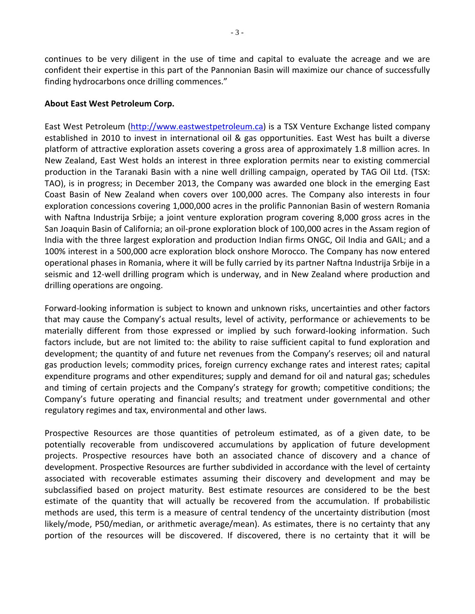continues to be very diligent in the use of time and capital to evaluate the acreage and we are confident their expertise in this part of the Pannonian Basin will maximize our chance of successfully finding hydrocarbons once drilling commences."

### **About East West Petroleum Corp.**

East West Petroleum [\(http://www.eastwestpetroleum.ca\)](http://www.eastwestpetroleum.ca/) is a TSX Venture Exchange listed company established in 2010 to invest in international oil & gas opportunities. East West has built a diverse platform of attractive exploration assets covering a gross area of approximately 1.8 million acres. In New Zealand, East West holds an interest in three exploration permits near to existing commercial production in the Taranaki Basin with a nine well drilling campaign, operated by TAG Oil Ltd. (TSX: TAO), is in progress; in December 2013, the Company was awarded one block in the emerging East Coast Basin of New Zealand when covers over 100,000 acres. The Company also interests in four exploration concessions covering 1,000,000 acres in the prolific Pannonian Basin of western Romania with Naftna Industrija Srbije; a joint venture exploration program covering 8,000 gross acres in the San Joaquin Basin of California; an oil-prone exploration block of 100,000 acres in the Assam region of India with the three largest exploration and production Indian firms ONGC, Oil India and GAIL; and a 100% interest in a 500,000 acre exploration block onshore Morocco. The Company has now entered operational phases in Romania, where it will be fully carried by its partner Naftna Industrija Srbije in a seismic and 12-well drilling program which is underway, and in New Zealand where production and drilling operations are ongoing.

Forward-looking information is subject to known and unknown risks, uncertainties and other factors that may cause the Company's actual results, level of activity, performance or achievements to be materially different from those expressed or implied by such forward-looking information. Such factors include, but are not limited to: the ability to raise sufficient capital to fund exploration and development; the quantity of and future net revenues from the Company's reserves; oil and natural gas production levels; commodity prices, foreign currency exchange rates and interest rates; capital expenditure programs and other expenditures; supply and demand for oil and natural gas; schedules and timing of certain projects and the Company's strategy for growth; competitive conditions; the Company's future operating and financial results; and treatment under governmental and other regulatory regimes and tax, environmental and other laws.

Prospective Resources are those quantities of petroleum estimated, as of a given date, to be potentially recoverable from undiscovered accumulations by application of future development projects. Prospective resources have both an associated chance of discovery and a chance of development. Prospective Resources are further subdivided in accordance with the level of certainty associated with recoverable estimates assuming their discovery and development and may be subclassified based on project maturity. Best estimate resources are considered to be the best estimate of the quantity that will actually be recovered from the accumulation. If probabilistic methods are used, this term is a measure of central tendency of the uncertainty distribution (most likely/mode, P50/median, or arithmetic average/mean). As estimates, there is no certainty that any portion of the resources will be discovered. If discovered, there is no certainty that it will be